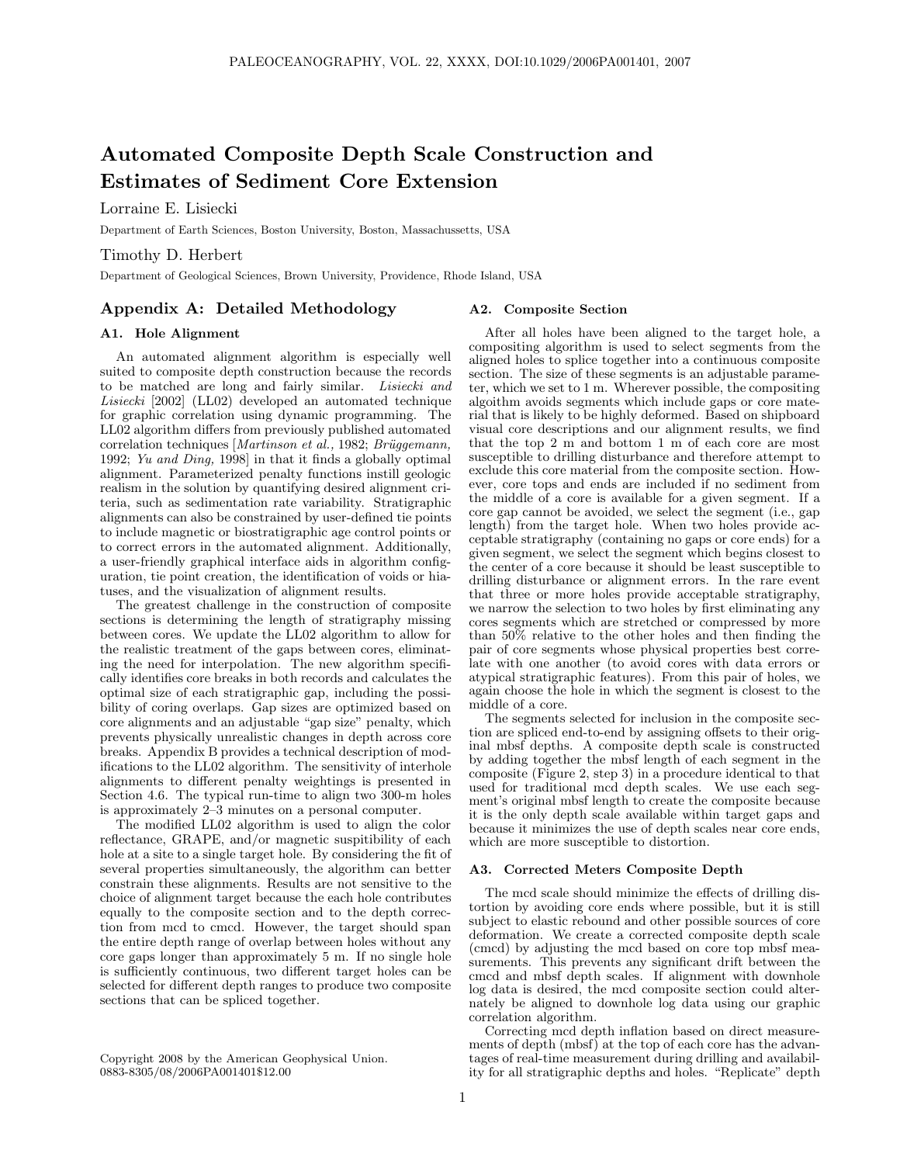# Automated Composite Depth Scale Construction and Estimates of Sediment Core Extension

Lorraine E. Lisiecki

Department of Earth Sciences, Boston University, Boston, Massachussetts, USA

Timothy D. Herbert

Department of Geological Sciences, Brown University, Providence, Rhode Island, USA

## Appendix A: Detailed Methodology

### A1. Hole Alignment

An automated alignment algorithm is especially well suited to composite depth construction because the records to be matched are long and fairly similar. Lisiecki and Lisiecki [2002] (LL02) developed an automated technique for graphic correlation using dynamic programming. The LL02 algorithm differs from previously published automated correlation techniques [Martinson et al., 1982; Brüggemann, 1992; Yu and Ding, 1998] in that it finds a globally optimal alignment. Parameterized penalty functions instill geologic realism in the solution by quantifying desired alignment criteria, such as sedimentation rate variability. Stratigraphic alignments can also be constrained by user-defined tie points to include magnetic or biostratigraphic age control points or to correct errors in the automated alignment. Additionally, a user-friendly graphical interface aids in algorithm configuration, tie point creation, the identification of voids or hiatuses, and the visualization of alignment results.

The greatest challenge in the construction of composite sections is determining the length of stratigraphy missing between cores. We update the LL02 algorithm to allow for the realistic treatment of the gaps between cores, eliminating the need for interpolation. The new algorithm specifically identifies core breaks in both records and calculates the optimal size of each stratigraphic gap, including the possibility of coring overlaps. Gap sizes are optimized based on core alignments and an adjustable "gap size" penalty, which prevents physically unrealistic changes in depth across core breaks. Appendix B provides a technical description of modifications to the LL02 algorithm. The sensitivity of interhole alignments to different penalty weightings is presented in Section 4.6. The typical run-time to align two 300-m holes is approximately 2–3 minutes on a personal computer.

The modified LL02 algorithm is used to align the color reflectance, GRAPE, and/or magnetic suspitibility of each hole at a site to a single target hole. By considering the fit of several properties simultaneously, the algorithm can better constrain these alignments. Results are not sensitive to the choice of alignment target because the each hole contributes equally to the composite section and to the depth correction from mcd to cmcd. However, the target should span the entire depth range of overlap between holes without any core gaps longer than approximately 5 m. If no single hole is sufficiently continuous, two different target holes can be selected for different depth ranges to produce two composite sections that can be spliced together.

Copyright 2008 by the American Geophysical Union. 0883-8305/08/2006PA001401\$12.00

#### A2. Composite Section

After all holes have been aligned to the target hole, a compositing algorithm is used to select segments from the aligned holes to splice together into a continuous composite section. The size of these segments is an adjustable parameter, which we set to 1 m. Wherever possible, the compositing algoithm avoids segments which include gaps or core material that is likely to be highly deformed. Based on shipboard visual core descriptions and our alignment results, we find that the top 2 m and bottom 1 m of each core are most susceptible to drilling disturbance and therefore attempt to exclude this core material from the composite section. However, core tops and ends are included if no sediment from the middle of a core is available for a given segment. If a core gap cannot be avoided, we select the segment (i.e., gap length) from the target hole. When two holes provide acceptable stratigraphy (containing no gaps or core ends) for a given segment, we select the segment which begins closest to the center of a core because it should be least susceptible to drilling disturbance or alignment errors. In the rare event that three or more holes provide acceptable stratigraphy, we narrow the selection to two holes by first eliminating any cores segments which are stretched or compressed by more than 50% relative to the other holes and then finding the pair of core segments whose physical properties best correlate with one another (to avoid cores with data errors or atypical stratigraphic features). From this pair of holes, we again choose the hole in which the segment is closest to the middle of a core.

The segments selected for inclusion in the composite section are spliced end-to-end by assigning offsets to their original mbsf depths. A composite depth scale is constructed by adding together the mbsf length of each segment in the composite (Figure 2, step 3) in a procedure identical to that used for traditional mcd depth scales. We use each segment's original mbsf length to create the composite because it is the only depth scale available within target gaps and because it minimizes the use of depth scales near core ends, which are more susceptible to distortion.

#### A3. Corrected Meters Composite Depth

The mcd scale should minimize the effects of drilling distortion by avoiding core ends where possible, but it is still subject to elastic rebound and other possible sources of core deformation. We create a corrected composite depth scale (cmcd) by adjusting the mcd based on core top mbsf measurements. This prevents any significant drift between the cmcd and mbsf depth scales. If alignment with downhole log data is desired, the mcd composite section could alternately be aligned to downhole log data using our graphic correlation algorithm.

Correcting mcd depth inflation based on direct measurements of depth (mbsf) at the top of each core has the advantages of real-time measurement during drilling and availability for all stratigraphic depths and holes. "Replicate" depth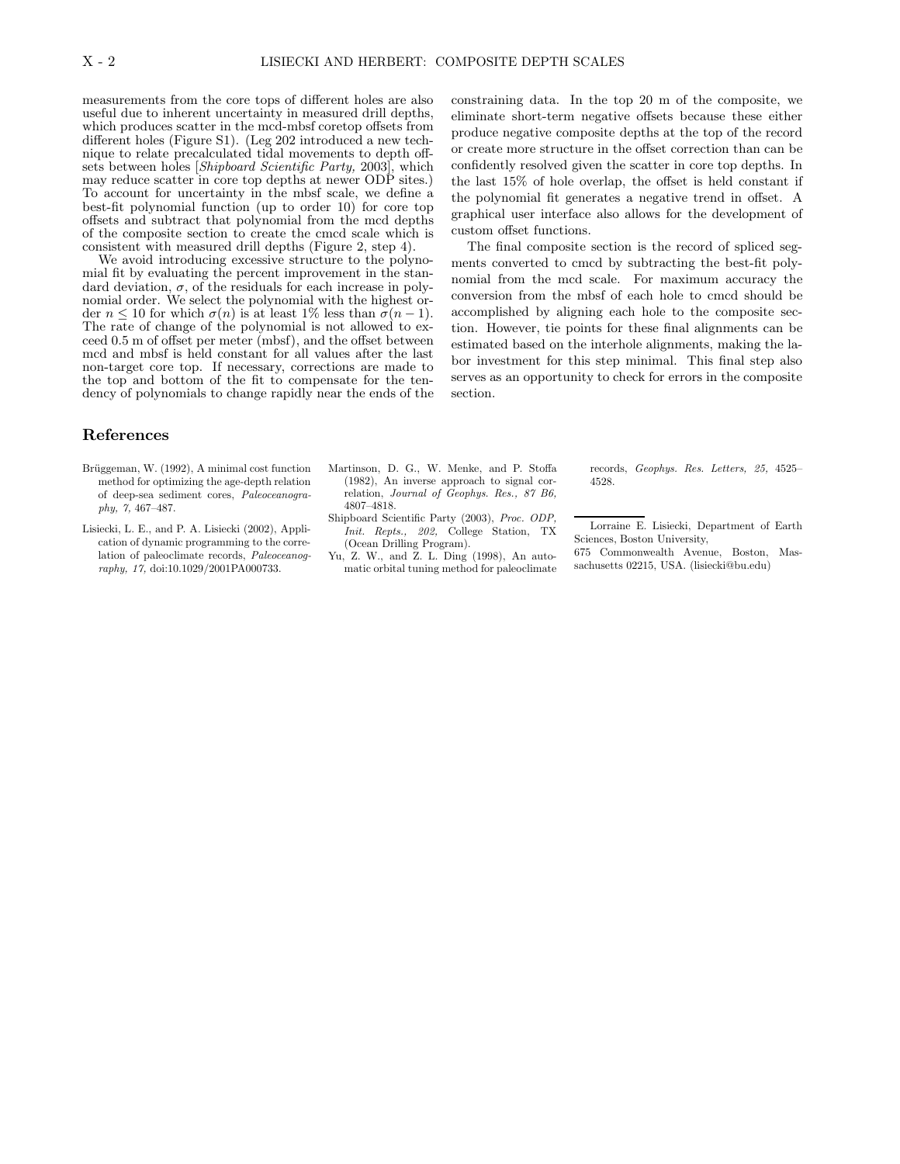measurements from the core tops of different holes are also useful due to inherent uncertainty in measured drill depths, which produces scatter in the mcd-mbsf coretop offsets from different holes (Figure S1). (Leg 202 introduced a new technique to relate precalculated tidal movements to depth offsets between holes [Shipboard Scientific Party, 2003], which may reduce scatter in core top depths at newer ODP sites.) To account for uncertainty in the mbsf scale, we define a best-fit polynomial function (up to order 10) for core top offsets and subtract that polynomial from the mcd depths of the composite section to create the cmcd scale which is consistent with measured drill depths (Figure 2, step 4).

We avoid introducing excessive structure to the polynomial fit by evaluating the percent improvement in the standard deviation,  $\sigma$ , of the residuals for each increase in polynomial order. We select the polynomial with the highest order  $n \leq 10$  for which  $\sigma(n)$  is at least 1% less than  $\sigma(n-1)$ . The rate of change of the polynomial is not allowed to exceed 0.5 m of offset per meter (mbsf), and the offset between mcd and mbsf is held constant for all values after the last non-target core top. If necessary, corrections are made to the top and bottom of the fit to compensate for the tendency of polynomials to change rapidly near the ends of the constraining data. In the top 20 m of the composite, we eliminate short-term negative offsets because these either produce negative composite depths at the top of the record or create more structure in the offset correction than can be confidently resolved given the scatter in core top depths. In the last 15% of hole overlap, the offset is held constant if the polynomial fit generates a negative trend in offset. A graphical user interface also allows for the development of custom offset functions.

The final composite section is the record of spliced segments converted to cmcd by subtracting the best-fit polynomial from the mcd scale. For maximum accuracy the conversion from the mbsf of each hole to cmcd should be accomplished by aligning each hole to the composite section. However, tie points for these final alignments can be estimated based on the interhole alignments, making the labor investment for this step minimal. This final step also serves as an opportunity to check for errors in the composite section.

# References

- Brüggeman, W. (1992), A minimal cost function method for optimizing the age-depth relation of deep-sea sediment cores, Paleoceanography, 7, 467–487.
- Lisiecki, L. E., and P. A. Lisiecki (2002), Application of dynamic programming to the correlation of paleoclimate records, Paleoceanography, 17, doi:10.1029/2001PA000733.
- Martinson, D. G., W. Menke, and P. Stoffa (1982), An inverse approach to signal correlation, Journal of Geophys. Res., 87 B6, 4807–4818.
- Shipboard Scientific Party (2003), Proc. ODP, Init. Repts., 202, College Station, TX (Ocean Drilling Program).
- Yu, Z. W., and Z. L. Ding (1998), An automatic orbital tuning method for paleoclimate

records, Geophys. Res. Letters, 25, 4525– 4528.

Lorraine E. Lisiecki, Department of Earth Sciences, Boston University, 675 Commonwealth Avenue, Boston, Mas-

sachusetts 02215, USA. (lisiecki@bu.edu)